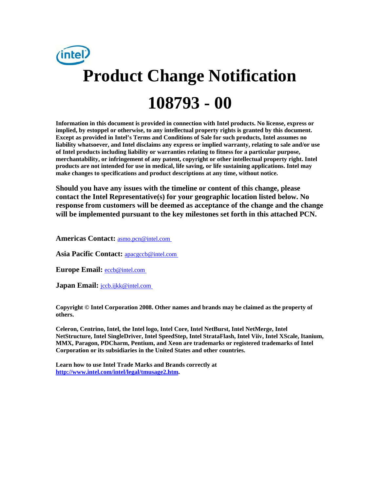

**Information in this document is provided in connection with Intel products. No license, express or implied, by estoppel or otherwise, to any intellectual property rights is granted by this document. Except as provided in Intel's Terms and Conditions of Sale for such products, Intel assumes no liability whatsoever, and Intel disclaims any express or implied warranty, relating to sale and/or use of Intel products including liability or warranties relating to fitness for a particular purpose, merchantability, or infringement of any patent, copyright or other intellectual property right. Intel products are not intended for use in medical, life saving, or life sustaining applications. Intel may make changes to specifications and product descriptions at any time, without notice.** 

**Should you have any issues with the timeline or content of this change, please contact the Intel Representative(s) for your geographic location listed below. No response from customers will be deemed as acceptance of the change and the change will be implemented pursuant to the key milestones set forth in this attached PCN.** 

**Americas Contact:** [asmo.pcn@intel.com](mailto:asmo.pcn@intel.com) 

**Asia Pacific Contact:** [apacgccb@intel.com](mailto:apacgccb@intel.com) 

Europe Email: **eccb@intel.com** 

**Japan Email:** *jccb.ijkk@intel.com* 

**Copyright © Intel Corporation 2008. Other names and brands may be claimed as the property of others.**

**Celeron, Centrino, Intel, the Intel logo, Intel Core, Intel NetBurst, Intel NetMerge, Intel NetStructure, Intel SingleDriver, Intel SpeedStep, Intel StrataFlash, Intel Viiv, Intel XScale, Itanium, MMX, Paragon, PDCharm, Pentium, and Xeon are trademarks or registered trademarks of Intel Corporation or its subsidiaries in the United States and other countries.** 

**Learn how to use Intel Trade Marks and Brands correctly at [http://www.intel.com/intel/legal/tmusage2.htm.](http://www.intel.com/intel/legal/tmusage2.htm)**